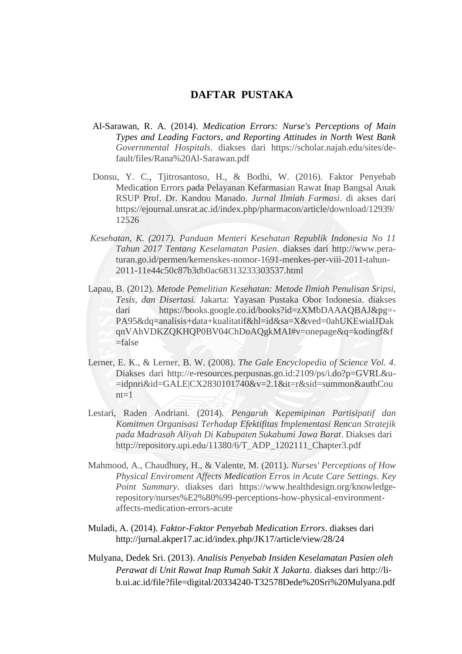## **DAFTAR PUSTAKA**

- Al-Sarawan, R. A. (2014). *Medication Errors: Nurse's Perceptions of Main Types and Leading Factors, and Reporting Attitudes in North West Bank Governmental Hospitals*. diakses dari https://scholar.najah.edu/sites/default/files/Rana%20Al-Sarawan.pdf
- Donsu, Y. C., Tjitrosantoso, H., & Bodhi, W. (2016). Faktor Penyebab Medication Errors pada Pelayanan Kefarmasian Rawat Inap Bangsal Anak RSUP Prof. Dr. Kandou Manado. *Jurnal Ilmiah Farmasi*. di akses dari https://ejournal.unsrat.ac.id/index.php/pharmacon/article/download/12939/ 12526
- *Kesehatan, K. (2017). Panduan Menteri Kesehatan Republik Indonesia No 11 Tahun 2017 Tentang Keselamatan Pasien*. diakses dari http://www.peraturan.go.id/permen/kemenskes-nomor-1691-menkes-per-viii-2011-tahun-2011-11e44c50c87b3db0ac68313233303537.html
- Lapau, B. (2012). *Metode Pemelitian Kesehatan: Metode Ilmiah Penulisan Sripsi, Tesis, dan Disertasi.* Jakarta: Yayasan Pustaka Obor Indonesia. diakses dari https://books.google.co.id/books?id=zXMbDAAAQBAJ&pg=- PA95&dq=analisis+data+kualitatif&hl=id&sa=X&ved=0ahUKEwialJDak qnVAhVDKZQKHQP0BV04ChDoAQgkMAI#v=onepage&q=kodingf&f  $=$ false
- Lerner, E. K., & Lerner, B. W. (2008). *The Gale Encyclopedia of Science Vol. 4*. Diakses dari [http://e-resources.perpusnas.go.id:2109/ps/i.do?p=GVRL&u-](http://e-resources.perpusnas.go.id:2109/ps/i.do?p=GVRL&u-=idpnri&id=GALE|CX2830101740&v=2.1&it=r&sid=summon&authCount=1) [=idpnri&id=GALE|CX2830101740&v=2.1&it=r&sid=summon&authCou](http://e-resources.perpusnas.go.id:2109/ps/i.do?p=GVRL&u-=idpnri&id=GALE|CX2830101740&v=2.1&it=r&sid=summon&authCount=1)  $nt=1$
- Lestari, Raden Andriani. (2014). *Pengaruh Kepemipinan Partisipatif dan Komitmen Organisasi Terhadap Efektifitas Implementasi Rencan Stratejik pada Madrasah Aliyah Di Kabupaten Sukabumi Jawa Barat*. Diakses dari [http://repository.upi.edu/11380/6/T\\_ADP\\_1202111\\_Chapter3.pdf](http://repository.upi.edu/11380/6/T_ADP_1202111_Chapter3.pdf)
- Mahmood, A., Chaudhury, H., & Valente, M. (2011). *Nurses' Perceptions of How Physical Enviroment Affects Medication Erros in Acute Care Settings*. *Key Point Summary*. diakses dari https://www.healthdesign.org/knowledgerepository/nurses%E2%80%99-perceptions-how-physical-environmentaffects-medication-errors-acute
- Muladi, A. (2014). *Faktor-Faktor Penyebab Medication Errors*. diakses dari <http://jurnal.akper17.ac.id/index.php/JK17/article/view/28/24>
- Mulyana, Dedek Sri. (2013). *Analisis Penyebab Insiden Keselamatan Pasien oleh Perawat di Unit Rawat Inap Rumah Sakit X Jakarta*. diakses dari [http://li](http://li-b.ui.ac.id/file?file=digital/20334240-T32578Dede%20Sri%20Mulyana.pdf)[b.ui.ac.id/file?file=digital/20334240-T32578Dede%20Sri%20Mulyana.pdf](http://li-b.ui.ac.id/file?file=digital/20334240-T32578Dede%20Sri%20Mulyana.pdf)